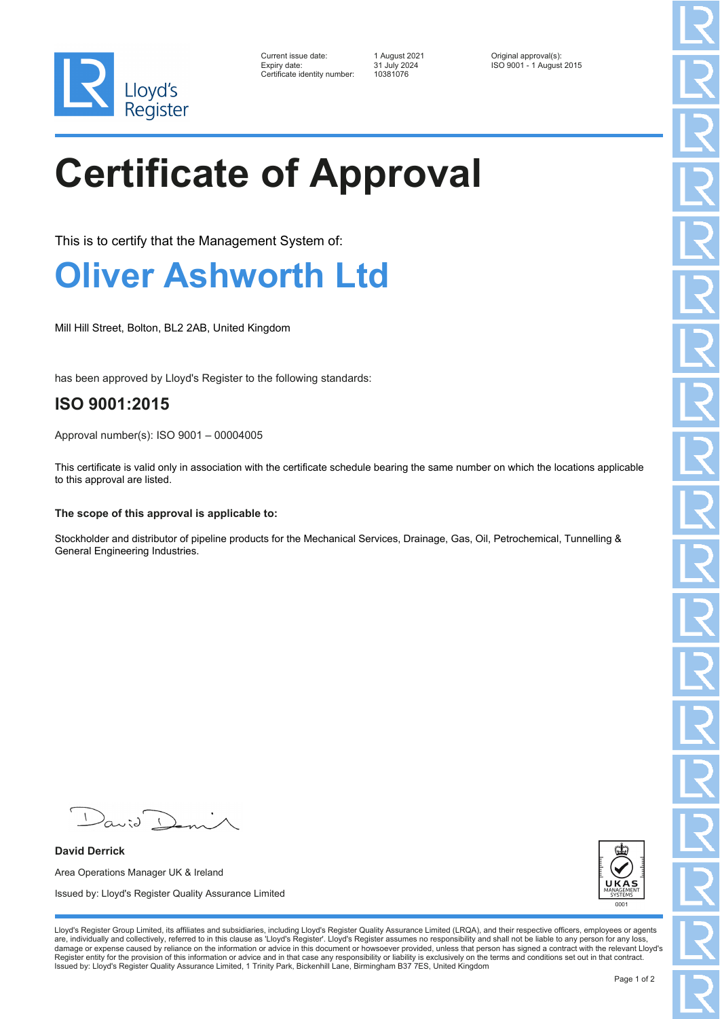

| Current issue date:          | 1 August 2021 | Original approval(s):    |
|------------------------------|---------------|--------------------------|
| Expiry date:                 | 31 July 2024  | ISO 9001 - 1 August 2015 |
| Certificate identity number: | 10381076      |                          |

# **Certificate of Approval**

This is to certify that the Management System of:

### **Oliver Ashworth Ltd**

Mill Hill Street, Bolton, BL2 2AB, United Kingdom

has been approved by Lloyd's Register to the following standards:

### **ISO 9001:2015**

Approval number(s): ISO 9001 – 00004005

This certificate is valid only in association with the certificate schedule bearing the same number on which the locations applicable to this approval are listed.

#### **The scope of this approval is applicable to:**

Stockholder and distributor of pipeline products for the Mechanical Services, Drainage, Gas, Oil, Petrochemical, Tunnelling & General Engineering Industries.

 $\sqrt{2}$  $\lambda$ anid (

**David Derrick** Area Operations Manager UK & Ireland Issued by: Lloyd's Register Quality Assurance Limited



Lloyd's Register Group Limited, its affiliates and subsidiaries, including Lloyd's Register Quality Assurance Limited (LRQA), and their respective officers, employees or agents are, individually and collectively, referred to in this clause as 'Lloyd's Register'. Lloyd's Register assumes no responsibility and shall not be liable to any person for any loss,<br>damage or expense caused by reliance on t Register entity for the provision of this information or advice and in that case any responsibility or liability is exclusively on the terms and conditions set out in that contract. Issued by: Lloyd's Register Quality Assurance Limited, 1 Trinity Park, Bickenhill Lane, Birmingham B37 7ES, United Kingdom